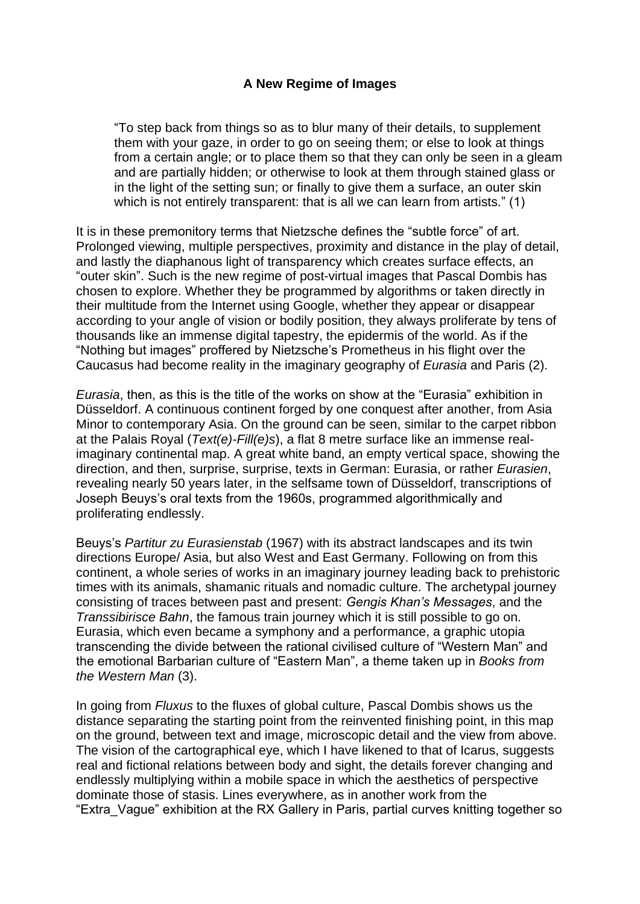## **A New Regime of Images**

"To step back from things so as to blur many of their details, to supplement them with your gaze, in order to go on seeing them; or else to look at things from a certain angle; or to place them so that they can only be seen in a gleam and are partially hidden; or otherwise to look at them through stained glass or in the light of the setting sun; or finally to give them a surface, an outer skin which is not entirely transparent: that is all we can learn from artists." (1)

It is in these premonitory terms that Nietzsche defines the "subtle force" of art. Prolonged viewing, multiple perspectives, proximity and distance in the play of detail, and lastly the diaphanous light of transparency which creates surface effects, an "outer skin". Such is the new regime of post-virtual images that Pascal Dombis has chosen to explore. Whether they be programmed by algorithms or taken directly in their multitude from the Internet using Google, whether they appear or disappear according to your angle of vision or bodily position, they always proliferate by tens of thousands like an immense digital tapestry, the epidermis of the world. As if the "Nothing but images" proffered by Nietzsche's Prometheus in his flight over the Caucasus had become reality in the imaginary geography of *Eurasia* and Paris (2).

*Eurasia*, then, as this is the title of the works on show at the "Eurasia" exhibition in Düsseldorf. A continuous continent forged by one conquest after another, from Asia Minor to contemporary Asia. On the ground can be seen, similar to the carpet ribbon at the Palais Royal (*Text(e)-Fill(e)s*), a flat 8 metre surface like an immense realimaginary continental map. A great white band, an empty vertical space, showing the direction, and then, surprise, surprise, texts in German: Eurasia, or rather *Eurasien*, revealing nearly 50 years later, in the selfsame town of Düsseldorf, transcriptions of Joseph Beuys's oral texts from the 1960s, programmed algorithmically and proliferating endlessly.

Beuys's *Partitur zu Eurasienstab* (1967) with its abstract landscapes and its twin directions Europe/ Asia, but also West and East Germany. Following on from this continent, a whole series of works in an imaginary journey leading back to prehistoric times with its animals, shamanic rituals and nomadic culture. The archetypal journey consisting of traces between past and present: *Gengis Khan's Messages*, and the *Transsibirisce Bahn*, the famous train journey which it is still possible to go on. Eurasia, which even became a symphony and a performance, a graphic utopia transcending the divide between the rational civilised culture of "Western Man" and the emotional Barbarian culture of "Eastern Man", a theme taken up in *Books from the Western Man* (3).

In going from *Fluxus* to the fluxes of global culture, Pascal Dombis shows us the distance separating the starting point from the reinvented finishing point, in this map on the ground, between text and image, microscopic detail and the view from above. The vision of the cartographical eye, which I have likened to that of Icarus, suggests real and fictional relations between body and sight, the details forever changing and endlessly multiplying within a mobile space in which the aesthetics of perspective dominate those of stasis. Lines everywhere, as in another work from the "Extra\_Vague" exhibition at the RX Gallery in Paris, partial curves knitting together so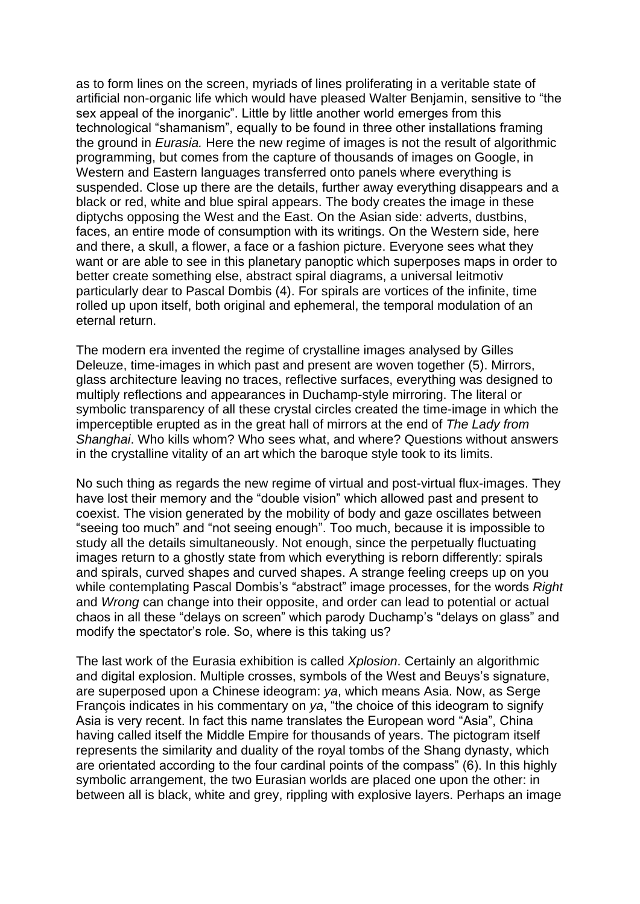as to form lines on the screen, myriads of lines proliferating in a veritable state of artificial non-organic life which would have pleased Walter Benjamin, sensitive to "the sex appeal of the inorganic". Little by little another world emerges from this technological "shamanism", equally to be found in three other installations framing the ground in *Eurasia.* Here the new regime of images is not the result of algorithmic programming, but comes from the capture of thousands of images on Google, in Western and Eastern languages transferred onto panels where everything is suspended. Close up there are the details, further away everything disappears and a black or red, white and blue spiral appears. The body creates the image in these diptychs opposing the West and the East. On the Asian side: adverts, dustbins, faces, an entire mode of consumption with its writings. On the Western side, here and there, a skull, a flower, a face or a fashion picture. Everyone sees what they want or are able to see in this planetary panoptic which superposes maps in order to better create something else, abstract spiral diagrams, a universal leitmotiv particularly dear to Pascal Dombis (4). For spirals are vortices of the infinite, time rolled up upon itself, both original and ephemeral, the temporal modulation of an eternal return.

The modern era invented the regime of crystalline images analysed by Gilles Deleuze, time-images in which past and present are woven together (5). Mirrors, glass architecture leaving no traces, reflective surfaces, everything was designed to multiply reflections and appearances in Duchamp-style mirroring. The literal or symbolic transparency of all these crystal circles created the time-image in which the imperceptible erupted as in the great hall of mirrors at the end of *The Lady from Shanghai*. Who kills whom? Who sees what, and where? Questions without answers in the crystalline vitality of an art which the baroque style took to its limits.

No such thing as regards the new regime of virtual and post-virtual flux-images. They have lost their memory and the "double vision" which allowed past and present to coexist. The vision generated by the mobility of body and gaze oscillates between "seeing too much" and "not seeing enough". Too much, because it is impossible to study all the details simultaneously. Not enough, since the perpetually fluctuating images return to a ghostly state from which everything is reborn differently: spirals and spirals, curved shapes and curved shapes. A strange feeling creeps up on you while contemplating Pascal Dombis's "abstract" image processes, for the words *Right* and *Wrong* can change into their opposite, and order can lead to potential or actual chaos in all these "delays on screen" which parody Duchamp's "delays on glass" and modify the spectator's role. So, where is this taking us?

The last work of the Eurasia exhibition is called *Xplosion*. Certainly an algorithmic and digital explosion. Multiple crosses, symbols of the West and Beuys's signature, are superposed upon a Chinese ideogram: *ya*, which means Asia. Now, as Serge François indicates in his commentary on *ya*, "the choice of this ideogram to signify Asia is very recent. In fact this name translates the European word "Asia", China having called itself the Middle Empire for thousands of years. The pictogram itself represents the similarity and duality of the royal tombs of the Shang dynasty, which are orientated according to the four cardinal points of the compass" (6). In this highly symbolic arrangement, the two Eurasian worlds are placed one upon the other: in between all is black, white and grey, rippling with explosive layers. Perhaps an image